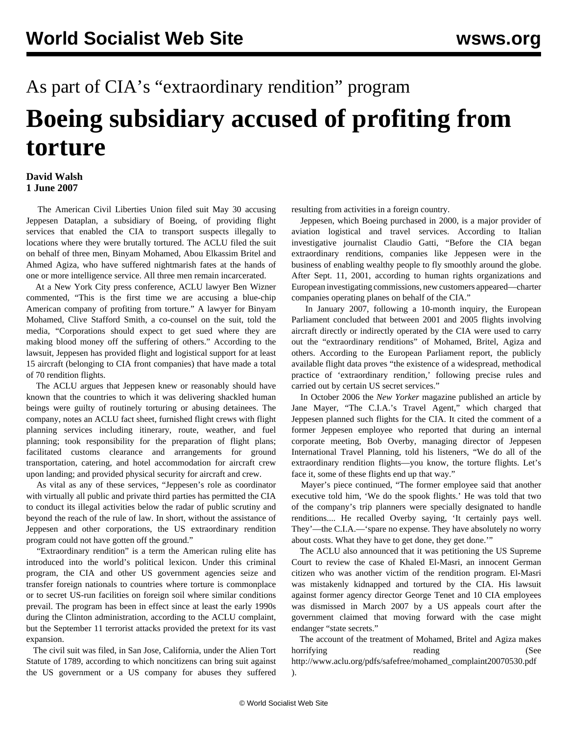## As part of CIA's "extraordinary rendition" program **Boeing subsidiary accused of profiting from torture**

## **David Walsh 1 June 2007**

 The American Civil Liberties Union filed suit May 30 accusing Jeppesen Dataplan, a subsidiary of Boeing, of providing flight services that enabled the CIA to transport suspects illegally to locations where they were brutally tortured. The ACLU filed the suit on behalf of three men, Binyam Mohamed, Abou Elkassim Britel and Ahmed Agiza, who have suffered nightmarish fates at the hands of one or more intelligence service. All three men remain incarcerated.

 At a New York City press conference, ACLU lawyer Ben Wizner commented, "This is the first time we are accusing a blue-chip American company of profiting from torture." A lawyer for Binyam Mohamed, Clive Stafford Smith, a co-counsel on the suit, told the media, "Corporations should expect to get sued where they are making blood money off the suffering of others." According to the lawsuit, Jeppesen has provided flight and logistical support for at least 15 aircraft (belonging to CIA front companies) that have made a total of 70 rendition flights.

 The ACLU argues that Jeppesen knew or reasonably should have known that the countries to which it was delivering shackled human beings were guilty of routinely torturing or abusing detainees. The company, notes an ACLU fact sheet, furnished flight crews with flight planning services including itinerary, route, weather, and fuel planning; took responsibility for the preparation of flight plans; facilitated customs clearance and arrangements for ground transportation, catering, and hotel accommodation for aircraft crew upon landing; and provided physical security for aircraft and crew.

 As vital as any of these services, "Jeppesen's role as coordinator with virtually all public and private third parties has permitted the CIA to conduct its illegal activities below the radar of public scrutiny and beyond the reach of the rule of law. In short, without the assistance of Jeppesen and other corporations, the US extraordinary rendition program could not have gotten off the ground."

 "Extraordinary rendition" is a term the American ruling elite has introduced into the world's political lexicon. Under this criminal program, the CIA and other US government agencies seize and transfer foreign nationals to countries where torture is commonplace or to secret US-run facilities on foreign soil where similar conditions prevail. The program has been in effect since at least the early 1990s during the Clinton administration, according to the ACLU complaint, but the September 11 terrorist attacks provided the pretext for its vast expansion.

 The civil suit was filed, in San Jose, California, under the Alien Tort Statute of 1789, according to which noncitizens can bring suit against the US government or a US company for abuses they suffered

resulting from activities in a foreign country.

 Jeppesen, which Boeing purchased in 2000, is a major provider of aviation logistical and travel services. According to Italian investigative journalist Claudio Gatti, "Before the CIA began extraordinary renditions, companies like Jeppesen were in the business of enabling wealthy people to fly smoothly around the globe. After Sept. 11, 2001, according to human rights organizations and European investigating commissions, new customers appeared—charter companies operating planes on behalf of the CIA."

 In January 2007, following a 10-month inquiry, the European Parliament concluded that between 2001 and 2005 flights involving aircraft directly or indirectly operated by the CIA were used to carry out the "extraordinary renditions" of Mohamed, Britel, Agiza and others. According to the European Parliament report, the publicly available flight data proves "the existence of a widespread, methodical practice of 'extraordinary rendition,' following precise rules and carried out by certain US secret services."

 In October 2006 the *New Yorker* magazine published an article by Jane Mayer, "The C.I.A.'s Travel Agent," which charged that Jeppesen planned such flights for the CIA. It cited the comment of a former Jeppesen employee who reported that during an internal corporate meeting, Bob Overby, managing director of Jeppesen International Travel Planning, told his listeners, "We do all of the extraordinary rendition flights—you know, the torture flights. Let's face it, some of these flights end up that way."

 Mayer's piece continued, "The former employee said that another executive told him, 'We do the spook flights.' He was told that two of the company's trip planners were specially designated to handle renditions.... He recalled Overby saying, 'It certainly pays well. They'—the C.I.A.—'spare no expense. They have absolutely no worry about costs. What they have to get done, they get done.'"

 The ACLU also announced that it was petitioning the US Supreme Court to review the case of Khaled El-Masri, an innocent German citizen who was another victim of the rendition program. El-Masri was mistakenly kidnapped and tortured by the CIA. His lawsuit against former agency director George Tenet and 10 CIA employees was dismissed in March 2007 by a US appeals court after the government claimed that moving forward with the case might endanger "state secrets."

 The account of the treatment of Mohamed, Britel and Agiza makes horrifying reading reading (See [http://www.aclu.org/pdfs/safefree/mohamed\\_complaint20070530.pdf](http://www.aclu.org/pdfs/safefree/mohamed_complaint20070530.pdf) ).